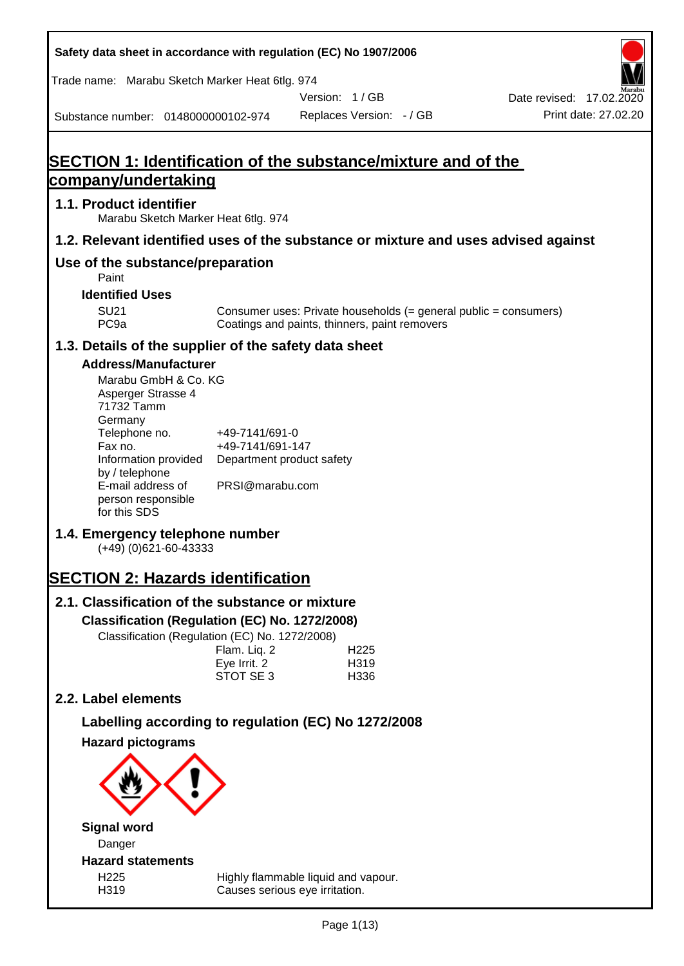**Safety data sheet in accordance with regulation (EC) No 1907/2006** Substance number: 0148000000102-974 Version: 1 / GB Replaces Version: - / GB Print date: 27.02.20 Date revised: 17.02.2020 Trade name: Marabu Sketch Marker Heat 6tlg. 974 **SECTION 1: Identification of the substance/mixture and of the company/undertaking 1.1. Product identifier** Marabu Sketch Marker Heat 6tlg. 974 **1.2. Relevant identified uses of the substance or mixture and uses advised against Use of the substance/preparation** Paint **Identified Uses** SU21 Consumer uses: Private households (= general public = consumers)<br>PC9a Coatings and paints, thinners, paint removers Coatings and paints, thinners, paint removers **1.3. Details of the supplier of the safety data sheet Address/Manufacturer** Marabu GmbH & Co. KG Asperger Strasse 4 71732 Tamm **Germany** Telephone no. +49-7141/691-0 Fax no.  $+49-7141/691-147$ Information provided Department product safety by / telephone E-mail address of person responsible for this SDS PRSI@marabu.com **1.4. Emergency telephone number** (+49) (0)621-60-43333 **SECTION 2: Hazards identification 2.1. Classification of the substance or mixture Classification (Regulation (EC) No. 1272/2008)** Classification (Regulation (EC) No. 1272/2008) Flam. Liq. 2 H225 Eve Irrit. 2 H319 STOT SE 3 H336 **2.2. Label elements Labelling according to regulation (EC) No 1272/2008 Hazard pictograms Signal word** Danger **Hazard statements** H225 Highly flammable liquid and vapour. H319 Causes serious eye irritation.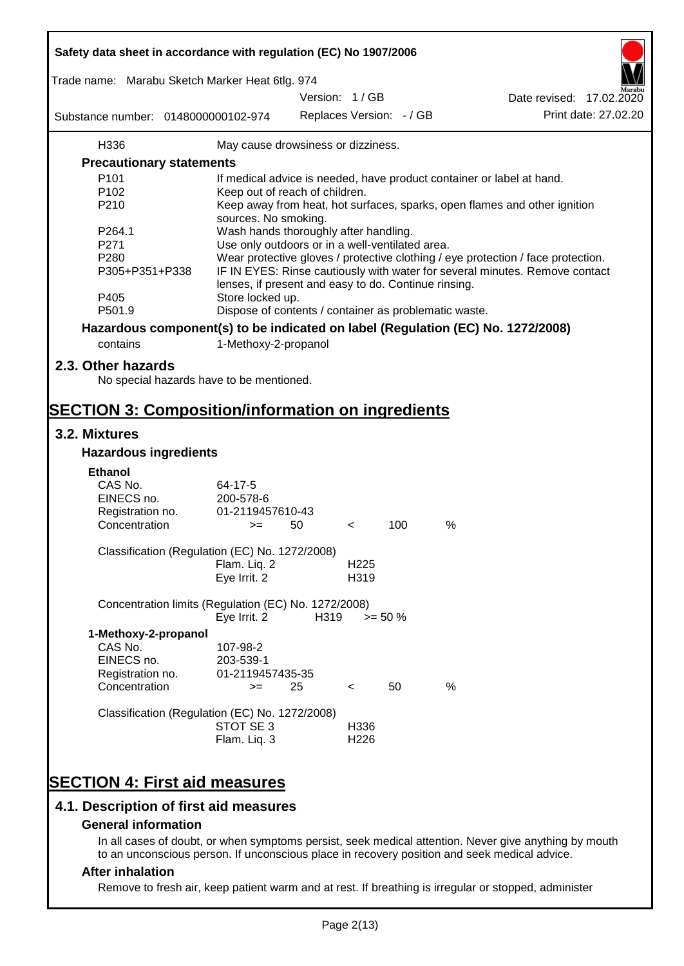| Safety data sheet in accordance with regulation (EC) No 1907/2006                            |                                                                                                   |      |                          |            |   |                                                                                                       |  |  |
|----------------------------------------------------------------------------------------------|---------------------------------------------------------------------------------------------------|------|--------------------------|------------|---|-------------------------------------------------------------------------------------------------------|--|--|
| Trade name: Marabu Sketch Marker Heat 6tlg. 974                                              |                                                                                                   |      | Version: 1/GB            |            |   | Date revised: 17.02.2020                                                                              |  |  |
|                                                                                              |                                                                                                   |      |                          |            |   | Print date: 27.02.20                                                                                  |  |  |
| Substance number: 0148000000102-974                                                          |                                                                                                   |      | Replaces Version: - / GB |            |   |                                                                                                       |  |  |
| H336                                                                                         | May cause drowsiness or dizziness.                                                                |      |                          |            |   |                                                                                                       |  |  |
| <b>Precautionary statements</b>                                                              |                                                                                                   |      |                          |            |   |                                                                                                       |  |  |
| P101                                                                                         |                                                                                                   |      |                          |            |   | If medical advice is needed, have product container or label at hand.                                 |  |  |
| P <sub>102</sub>                                                                             | Keep out of reach of children.                                                                    |      |                          |            |   |                                                                                                       |  |  |
| P210                                                                                         | Keep away from heat, hot surfaces, sparks, open flames and other ignition<br>sources. No smoking. |      |                          |            |   |                                                                                                       |  |  |
| P264.1                                                                                       | Wash hands thoroughly after handling.                                                             |      |                          |            |   |                                                                                                       |  |  |
| P271                                                                                         | Use only outdoors or in a well-ventilated area.                                                   |      |                          |            |   |                                                                                                       |  |  |
| P280                                                                                         |                                                                                                   |      |                          |            |   | Wear protective gloves / protective clothing / eye protection / face protection.                      |  |  |
| P305+P351+P338                                                                               | lenses, if present and easy to do. Continue rinsing.                                              |      |                          |            |   | IF IN EYES: Rinse cautiously with water for several minutes. Remove contact                           |  |  |
| P405                                                                                         | Store locked up.                                                                                  |      |                          |            |   |                                                                                                       |  |  |
| P501.9                                                                                       | Dispose of contents / container as problematic waste.                                             |      |                          |            |   |                                                                                                       |  |  |
| Hazardous component(s) to be indicated on label (Regulation (EC) No. 1272/2008)              |                                                                                                   |      |                          |            |   |                                                                                                       |  |  |
| contains                                                                                     | 1-Methoxy-2-propanol                                                                              |      |                          |            |   |                                                                                                       |  |  |
| 2.3. Other hazards<br>No special hazards have to be mentioned.                               |                                                                                                   |      |                          |            |   |                                                                                                       |  |  |
| <b>SECTION 3: Composition/information on ingredients</b>                                     |                                                                                                   |      |                          |            |   |                                                                                                       |  |  |
| 3.2. Mixtures                                                                                |                                                                                                   |      |                          |            |   |                                                                                                       |  |  |
| <b>Hazardous ingredients</b>                                                                 |                                                                                                   |      |                          |            |   |                                                                                                       |  |  |
| <b>Ethanol</b>                                                                               |                                                                                                   |      |                          |            |   |                                                                                                       |  |  |
| CAS No.                                                                                      | $64 - 17 - 5$                                                                                     |      |                          |            |   |                                                                                                       |  |  |
| EINECS no.                                                                                   | 200-578-6                                                                                         |      |                          |            |   |                                                                                                       |  |  |
| Registration no.                                                                             | 01-2119457610-43                                                                                  |      |                          |            |   |                                                                                                       |  |  |
| Concentration                                                                                | $>=$                                                                                              | 50   | $\,<\,$                  | 100        | % |                                                                                                       |  |  |
| Classification (Regulation (EC) No. 1272/2008)                                               |                                                                                                   |      |                          |            |   |                                                                                                       |  |  |
|                                                                                              | Flam. Lig. 2                                                                                      |      | H <sub>225</sub>         |            |   |                                                                                                       |  |  |
|                                                                                              | Eye Irrit. 2                                                                                      |      | H319                     |            |   |                                                                                                       |  |  |
| Concentration limits (Regulation (EC) No. 1272/2008)                                         | Eye Irrit. 2                                                                                      | H319 |                          | $>= 50 \%$ |   |                                                                                                       |  |  |
|                                                                                              |                                                                                                   |      |                          |            |   |                                                                                                       |  |  |
| 1-Methoxy-2-propanol<br>CAS No.                                                              | 107-98-2                                                                                          |      |                          |            |   |                                                                                                       |  |  |
| EINECS no.                                                                                   | 203-539-1                                                                                         |      |                          |            |   |                                                                                                       |  |  |
| Registration no.                                                                             | 01-2119457435-35                                                                                  |      |                          |            |   |                                                                                                       |  |  |
| Concentration                                                                                | $>=$                                                                                              | 25   | $\prec$                  | 50         | % |                                                                                                       |  |  |
| Classification (Regulation (EC) No. 1272/2008)                                               |                                                                                                   |      |                          |            |   |                                                                                                       |  |  |
|                                                                                              | STOT SE 3                                                                                         |      | H336                     |            |   |                                                                                                       |  |  |
|                                                                                              | Flam. Liq. 3                                                                                      |      | H <sub>226</sub>         |            |   |                                                                                                       |  |  |
|                                                                                              |                                                                                                   |      |                          |            |   |                                                                                                       |  |  |
| <b>SECTION 4: First aid measures</b>                                                         |                                                                                                   |      |                          |            |   |                                                                                                       |  |  |
| 4.1. Description of first aid measures                                                       |                                                                                                   |      |                          |            |   |                                                                                                       |  |  |
| <b>General information</b>                                                                   |                                                                                                   |      |                          |            |   |                                                                                                       |  |  |
|                                                                                              |                                                                                                   |      |                          |            |   | In all cases of doubt, or when symptoms persist, seek medical attention. Never give anything by mouth |  |  |
| to an unconscious person. If unconscious place in recovery position and seek medical advice. |                                                                                                   |      |                          |            |   |                                                                                                       |  |  |
| After inholation                                                                             |                                                                                                   |      |                          |            |   |                                                                                                       |  |  |

ī

#### **After inhalation**

Г

Remove to fresh air, keep patient warm and at rest. If breathing is irregular or stopped, administer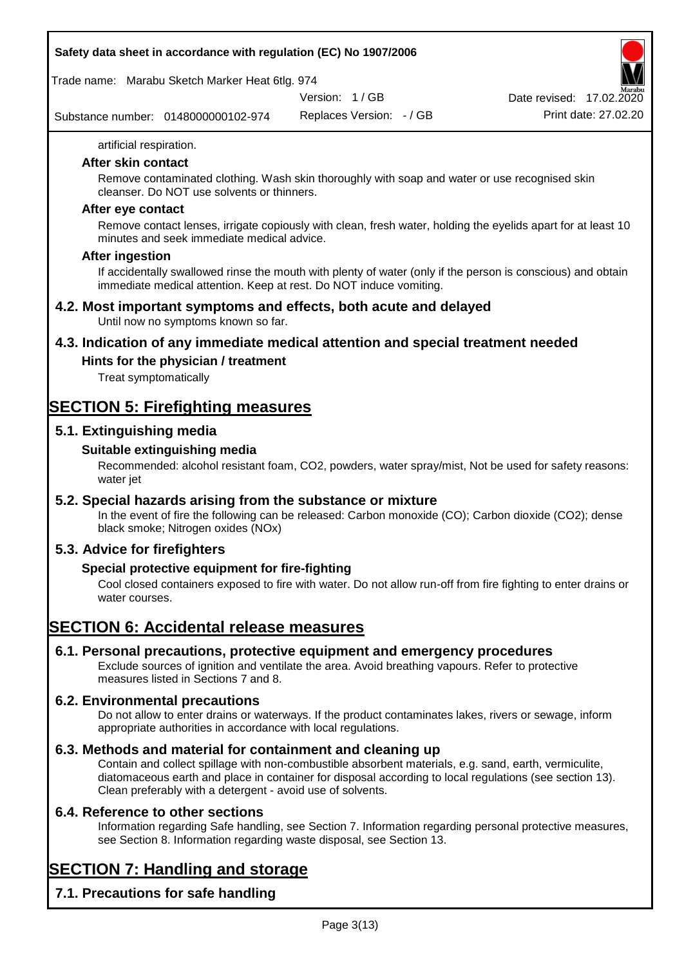Trade name: Marabu Sketch Marker Heat 6tlg. 974

Version: 1 / GB

Substance number: 0148000000102-974

Replaces Version: - / GB Print date: 27.02.20 Date revised: 17.02.2020

artificial respiration.

#### **After skin contact**

Remove contaminated clothing. Wash skin thoroughly with soap and water or use recognised skin cleanser. Do NOT use solvents or thinners.

#### **After eye contact**

Remove contact lenses, irrigate copiously with clean, fresh water, holding the eyelids apart for at least 10 minutes and seek immediate medical advice.

#### **After ingestion**

If accidentally swallowed rinse the mouth with plenty of water (only if the person is conscious) and obtain immediate medical attention. Keep at rest. Do NOT induce vomiting.

#### **4.2. Most important symptoms and effects, both acute and delayed** Until now no symptoms known so far.

**4.3. Indication of any immediate medical attention and special treatment needed**

## **Hints for the physician / treatment**

Treat symptomatically

## **SECTION 5: Firefighting measures**

### **5.1. Extinguishing media**

#### **Suitable extinguishing media**

Recommended: alcohol resistant foam, CO2, powders, water spray/mist, Not be used for safety reasons: water jet

#### **5.2. Special hazards arising from the substance or mixture**

In the event of fire the following can be released: Carbon monoxide (CO); Carbon dioxide (CO2); dense black smoke; Nitrogen oxides (NOx)

#### **5.3. Advice for firefighters**

#### **Special protective equipment for fire-fighting**

Cool closed containers exposed to fire with water. Do not allow run-off from fire fighting to enter drains or water courses.

## **SECTION 6: Accidental release measures**

#### **6.1. Personal precautions, protective equipment and emergency procedures**

Exclude sources of ignition and ventilate the area. Avoid breathing vapours. Refer to protective measures listed in Sections 7 and 8.

#### **6.2. Environmental precautions**

Do not allow to enter drains or waterways. If the product contaminates lakes, rivers or sewage, inform appropriate authorities in accordance with local regulations.

#### **6.3. Methods and material for containment and cleaning up**

Contain and collect spillage with non-combustible absorbent materials, e.g. sand, earth, vermiculite, diatomaceous earth and place in container for disposal according to local regulations (see section 13). Clean preferably with a detergent - avoid use of solvents.

#### **6.4. Reference to other sections**

Information regarding Safe handling, see Section 7. Information regarding personal protective measures, see Section 8. Information regarding waste disposal, see Section 13.

# **SECTION 7: Handling and storage**

**7.1. Precautions for safe handling**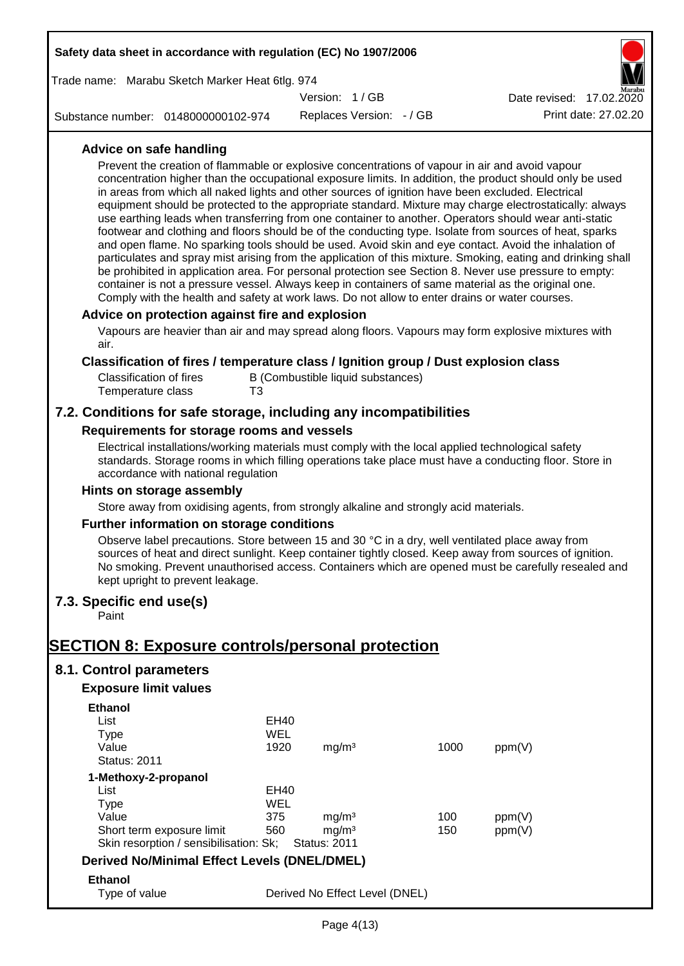| Safety data sheet in accordance with regulation (EC) No 1907/2006                                                                                                                                                                                                                                                                                                                                                                                                                                                                                                                                           |                            |                                                               |                          |            |                                                                                                                                                                                                                                                                                                                                                                                                                                                                                                                                                                                                                                                                   |
|-------------------------------------------------------------------------------------------------------------------------------------------------------------------------------------------------------------------------------------------------------------------------------------------------------------------------------------------------------------------------------------------------------------------------------------------------------------------------------------------------------------------------------------------------------------------------------------------------------------|----------------------------|---------------------------------------------------------------|--------------------------|------------|-------------------------------------------------------------------------------------------------------------------------------------------------------------------------------------------------------------------------------------------------------------------------------------------------------------------------------------------------------------------------------------------------------------------------------------------------------------------------------------------------------------------------------------------------------------------------------------------------------------------------------------------------------------------|
| Trade name: Marabu Sketch Marker Heat 6tlg. 974                                                                                                                                                                                                                                                                                                                                                                                                                                                                                                                                                             |                            |                                                               |                          |            |                                                                                                                                                                                                                                                                                                                                                                                                                                                                                                                                                                                                                                                                   |
|                                                                                                                                                                                                                                                                                                                                                                                                                                                                                                                                                                                                             |                            | Version: 1/GB                                                 |                          |            | Date revised: 17.02.2020                                                                                                                                                                                                                                                                                                                                                                                                                                                                                                                                                                                                                                          |
| Substance number: 0148000000102-974                                                                                                                                                                                                                                                                                                                                                                                                                                                                                                                                                                         |                            |                                                               | Replaces Version: - / GB |            | Print date: 27.02.20                                                                                                                                                                                                                                                                                                                                                                                                                                                                                                                                                                                                                                              |
| Advice on safe handling<br>Prevent the creation of flammable or explosive concentrations of vapour in air and avoid vapour<br>in areas from which all naked lights and other sources of ignition have been excluded. Electrical<br>use earthing leads when transferring from one container to another. Operators should wear anti-static<br>container is not a pressure vessel. Always keep in containers of same material as the original one.<br>Comply with the health and safety at work laws. Do not allow to enter drains or water courses.                                                           |                            |                                                               |                          |            | concentration higher than the occupational exposure limits. In addition, the product should only be used<br>equipment should be protected to the appropriate standard. Mixture may charge electrostatically: always<br>footwear and clothing and floors should be of the conducting type. Isolate from sources of heat, sparks<br>and open flame. No sparking tools should be used. Avoid skin and eye contact. Avoid the inhalation of<br>particulates and spray mist arising from the application of this mixture. Smoking, eating and drinking shall<br>be prohibited in application area. For personal protection see Section 8. Never use pressure to empty: |
| Advice on protection against fire and explosion<br>Vapours are heavier than air and may spread along floors. Vapours may form explosive mixtures with<br>air.                                                                                                                                                                                                                                                                                                                                                                                                                                               |                            |                                                               |                          |            |                                                                                                                                                                                                                                                                                                                                                                                                                                                                                                                                                                                                                                                                   |
| Classification of fires / temperature class / Ignition group / Dust explosion class<br><b>Classification of fires</b><br>Temperature class                                                                                                                                                                                                                                                                                                                                                                                                                                                                  | T3                         | B (Combustible liquid substances)                             |                          |            |                                                                                                                                                                                                                                                                                                                                                                                                                                                                                                                                                                                                                                                                   |
| 7.2. Conditions for safe storage, including any incompatibilities                                                                                                                                                                                                                                                                                                                                                                                                                                                                                                                                           |                            |                                                               |                          |            |                                                                                                                                                                                                                                                                                                                                                                                                                                                                                                                                                                                                                                                                   |
| Requirements for storage rooms and vessels<br>Electrical installations/working materials must comply with the local applied technological safety<br>standards. Storage rooms in which filling operations take place must have a conducting floor. Store in<br>accordance with national regulation<br>Hints on storage assembly<br>Store away from oxidising agents, from strongly alkaline and strongly acid materials.<br>Further information on storage conditions<br>Observe label precautions. Store between 15 and 30 °C in a dry, well ventilated place away from<br>kept upright to prevent leakage. |                            |                                                               |                          |            | sources of heat and direct sunlight. Keep container tightly closed. Keep away from sources of ignition.<br>No smoking. Prevent unauthorised access. Containers which are opened must be carefully resealed and                                                                                                                                                                                                                                                                                                                                                                                                                                                    |
| 7.3. Specific end use(s)<br>Paint                                                                                                                                                                                                                                                                                                                                                                                                                                                                                                                                                                           |                            |                                                               |                          |            |                                                                                                                                                                                                                                                                                                                                                                                                                                                                                                                                                                                                                                                                   |
| <b>SECTION 8: Exposure controls/personal protection</b>                                                                                                                                                                                                                                                                                                                                                                                                                                                                                                                                                     |                            |                                                               |                          |            |                                                                                                                                                                                                                                                                                                                                                                                                                                                                                                                                                                                                                                                                   |
| 8.1. Control parameters                                                                                                                                                                                                                                                                                                                                                                                                                                                                                                                                                                                     |                            |                                                               |                          |            |                                                                                                                                                                                                                                                                                                                                                                                                                                                                                                                                                                                                                                                                   |
| <b>Exposure limit values</b>                                                                                                                                                                                                                                                                                                                                                                                                                                                                                                                                                                                |                            |                                                               |                          |            |                                                                                                                                                                                                                                                                                                                                                                                                                                                                                                                                                                                                                                                                   |
| <b>Ethanol</b><br>List<br><b>Type</b><br>Value<br><b>Status: 2011</b>                                                                                                                                                                                                                                                                                                                                                                                                                                                                                                                                       | <b>EH40</b><br>WEL<br>1920 | mg/m <sup>3</sup>                                             |                          | 1000       | ppm(V)                                                                                                                                                                                                                                                                                                                                                                                                                                                                                                                                                                                                                                                            |
| 1-Methoxy-2-propanol<br>List<br><b>Type</b><br>Value<br>Short term exposure limit<br>Skin resorption / sensibilisation: Sk;                                                                                                                                                                                                                                                                                                                                                                                                                                                                                 | EH40<br>WEL<br>375<br>560  | mg/m <sup>3</sup><br>mg/m <sup>3</sup><br><b>Status: 2011</b> |                          | 100<br>150 | ppm(V)<br>ppm(V)                                                                                                                                                                                                                                                                                                                                                                                                                                                                                                                                                                                                                                                  |
| <b>Derived No/Minimal Effect Levels (DNEL/DMEL)</b>                                                                                                                                                                                                                                                                                                                                                                                                                                                                                                                                                         |                            |                                                               |                          |            |                                                                                                                                                                                                                                                                                                                                                                                                                                                                                                                                                                                                                                                                   |
| <b>Ethanol</b><br>Type of value                                                                                                                                                                                                                                                                                                                                                                                                                                                                                                                                                                             |                            | Derived No Effect Level (DNEL)                                |                          |            |                                                                                                                                                                                                                                                                                                                                                                                                                                                                                                                                                                                                                                                                   |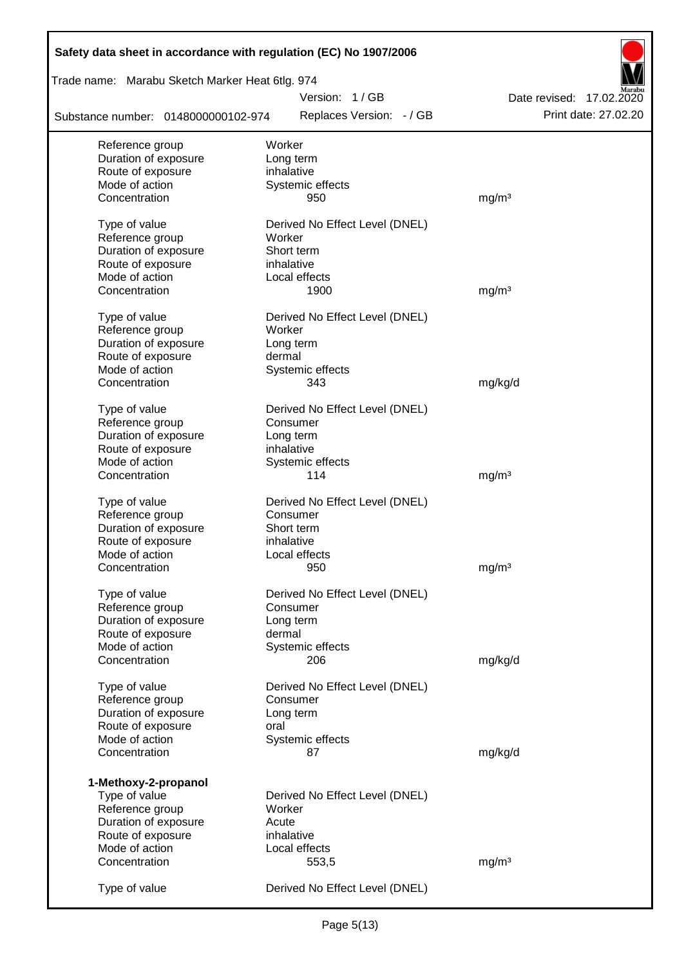| Safety data sheet in accordance with regulation (EC) No 1907/2006 |                                |                          |
|-------------------------------------------------------------------|--------------------------------|--------------------------|
| Trade name: Marabu Sketch Marker Heat 6tlg. 974                   |                                |                          |
|                                                                   | Version: 1/GB                  | Date revised: 17.02.2020 |
| Substance number: 0148000000102-974                               | Replaces Version: - / GB       | Print date: 27.02.20     |
| Reference group                                                   | Worker                         |                          |
| Duration of exposure                                              | Long term                      |                          |
| Route of exposure                                                 | inhalative                     |                          |
| Mode of action                                                    | Systemic effects               |                          |
| Concentration                                                     | 950                            | mg/m <sup>3</sup>        |
| Type of value                                                     | Derived No Effect Level (DNEL) |                          |
| Reference group                                                   | Worker                         |                          |
| Duration of exposure                                              | Short term                     |                          |
| Route of exposure                                                 | inhalative                     |                          |
| Mode of action                                                    | Local effects                  |                          |
| Concentration                                                     | 1900                           | mg/m <sup>3</sup>        |
|                                                                   |                                |                          |
| Type of value                                                     | Derived No Effect Level (DNEL) |                          |
| Reference group<br>Duration of exposure                           | Worker                         |                          |
| Route of exposure                                                 | Long term<br>dermal            |                          |
| Mode of action                                                    |                                |                          |
| Concentration                                                     | Systemic effects<br>343        | mg/kg/d                  |
|                                                                   |                                |                          |
| Type of value                                                     | Derived No Effect Level (DNEL) |                          |
| Reference group                                                   | Consumer                       |                          |
| Duration of exposure                                              | Long term                      |                          |
| Route of exposure                                                 | inhalative                     |                          |
| Mode of action                                                    | Systemic effects               |                          |
| Concentration                                                     | 114                            | mg/m <sup>3</sup>        |
|                                                                   |                                |                          |
| Type of value                                                     | Derived No Effect Level (DNEL) |                          |
| Reference group<br>Duration of exposure                           | Consumer<br>Short term         |                          |
|                                                                   |                                |                          |
| Route of exposure<br>Mode of action                               | inhalative<br>Local effects    |                          |
| Concentration                                                     | 950                            | mg/m <sup>3</sup>        |
|                                                                   |                                |                          |
| Type of value                                                     | Derived No Effect Level (DNEL) |                          |
| Reference group                                                   | Consumer                       |                          |
| Duration of exposure                                              | Long term                      |                          |
| Route of exposure                                                 | dermal                         |                          |
| Mode of action                                                    | Systemic effects               |                          |
| Concentration                                                     | 206                            | mg/kg/d                  |
| Type of value                                                     | Derived No Effect Level (DNEL) |                          |
| Reference group                                                   | Consumer                       |                          |
| Duration of exposure                                              | Long term                      |                          |
| Route of exposure                                                 | oral                           |                          |
| Mode of action                                                    | Systemic effects               |                          |
| Concentration                                                     | 87                             | mg/kg/d                  |
|                                                                   |                                |                          |
| 1-Methoxy-2-propanol                                              |                                |                          |
| Type of value                                                     | Derived No Effect Level (DNEL) |                          |
| Reference group                                                   | Worker                         |                          |
| Duration of exposure                                              | Acute                          |                          |
| Route of exposure                                                 | inhalative                     |                          |
| Mode of action                                                    | Local effects                  |                          |
| Concentration                                                     | 553,5                          | mg/m <sup>3</sup>        |
| Type of value                                                     | Derived No Effect Level (DNEL) |                          |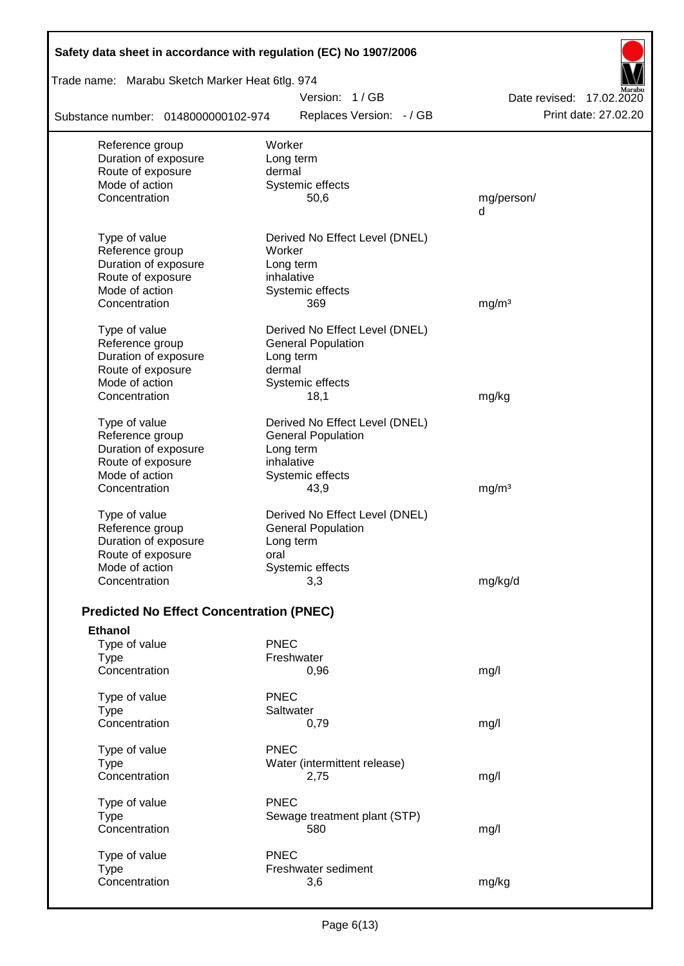| Safety data sheet in accordance with regulation (EC) No 1907/2006 |                                |                          |
|-------------------------------------------------------------------|--------------------------------|--------------------------|
| Trade name: Marabu Sketch Marker Heat 6tlg. 974                   |                                |                          |
|                                                                   | Version: 1/GB                  | Date revised: 17.02.2020 |
| Substance number: 0148000000102-974                               | Replaces Version: - / GB       | Print date: 27.02.20     |
| Reference group                                                   | Worker                         |                          |
| Duration of exposure                                              | Long term                      |                          |
| Route of exposure                                                 | dermal                         |                          |
| Mode of action                                                    | Systemic effects               |                          |
| Concentration                                                     | 50,6                           | mg/person/<br>d          |
| Type of value                                                     | Derived No Effect Level (DNEL) |                          |
| Reference group                                                   | Worker                         |                          |
| Duration of exposure                                              | Long term                      |                          |
| Route of exposure                                                 | inhalative                     |                          |
| Mode of action                                                    | Systemic effects               |                          |
| Concentration                                                     | 369                            | mg/m <sup>3</sup>        |
| Type of value                                                     | Derived No Effect Level (DNEL) |                          |
| Reference group                                                   | <b>General Population</b>      |                          |
| Duration of exposure                                              | Long term                      |                          |
| Route of exposure                                                 | dermal                         |                          |
| Mode of action                                                    | Systemic effects               |                          |
| Concentration                                                     | 18,1                           | mg/kg                    |
| Type of value                                                     | Derived No Effect Level (DNEL) |                          |
| Reference group                                                   | <b>General Population</b>      |                          |
| Duration of exposure                                              | Long term                      |                          |
| Route of exposure                                                 | inhalative                     |                          |
| Mode of action                                                    | Systemic effects               |                          |
| Concentration                                                     | 43,9                           | mg/m <sup>3</sup>        |
| Type of value                                                     | Derived No Effect Level (DNEL) |                          |
| Reference group                                                   | <b>General Population</b>      |                          |
| Duration of exposure                                              | Long term                      |                          |
| Route of exposure                                                 | oral                           |                          |
| Mode of action                                                    | Systemic effects               |                          |
| Concentration                                                     | 3,3                            | mg/kg/d                  |
| <b>Predicted No Effect Concentration (PNEC)</b>                   |                                |                          |
| <b>Ethanol</b>                                                    |                                |                          |
| Type of value                                                     | <b>PNEC</b>                    |                          |
| <b>Type</b>                                                       | Freshwater                     |                          |
| Concentration                                                     | 0,96                           | mg/l                     |
| Type of value                                                     | <b>PNEC</b>                    |                          |
| <b>Type</b>                                                       | Saltwater                      |                          |
| Concentration                                                     | 0,79                           | mg/l                     |
| Type of value                                                     | <b>PNEC</b>                    |                          |
| <b>Type</b>                                                       | Water (intermittent release)   |                          |
| Concentration                                                     | 2,75                           | mg/l                     |
| Type of value                                                     | <b>PNEC</b>                    |                          |
| <b>Type</b>                                                       | Sewage treatment plant (STP)   |                          |
| Concentration                                                     | 580                            | mg/l                     |
| Type of value                                                     | <b>PNEC</b>                    |                          |
| <b>Type</b>                                                       | Freshwater sediment            |                          |
| Concentration                                                     | 3,6                            | mg/kg                    |
|                                                                   |                                |                          |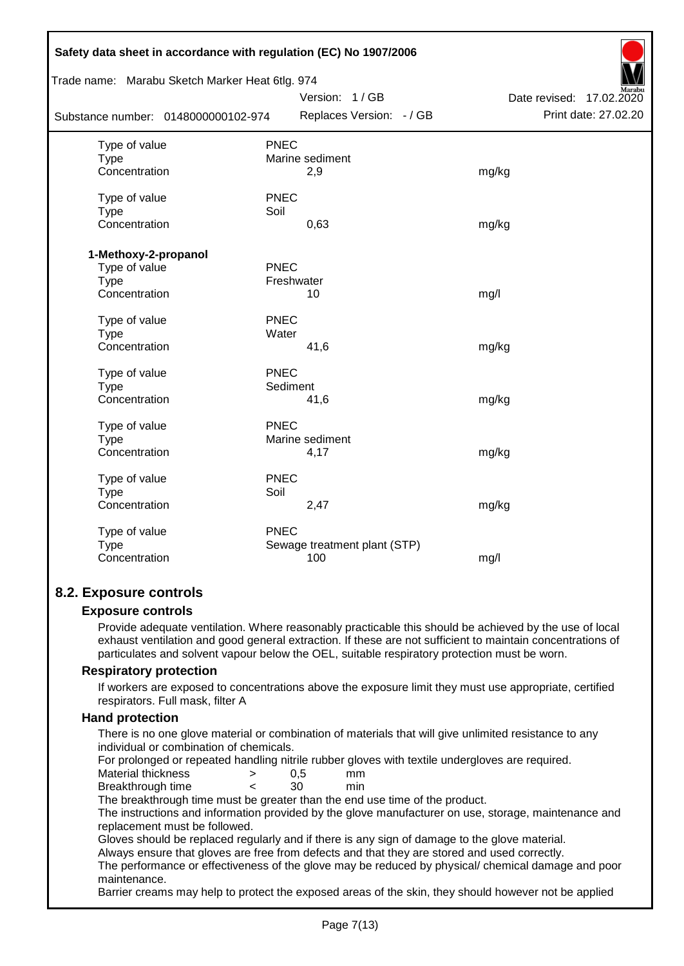| Safety data sheet in accordance with regulation (EC) No 1907/2006 |             |                              |                             |  |  |  |
|-------------------------------------------------------------------|-------------|------------------------------|-----------------------------|--|--|--|
| Trade name: Marabu Sketch Marker Heat 6tlg. 974                   |             |                              |                             |  |  |  |
|                                                                   |             | Version: 1/GB                | Date revised:<br>17.02.2020 |  |  |  |
| Substance number: 0148000000102-974                               |             | Replaces Version: - / GB     | Print date: 27.02.20        |  |  |  |
| Type of value                                                     | <b>PNEC</b> |                              |                             |  |  |  |
| <b>Type</b>                                                       |             | Marine sediment              |                             |  |  |  |
| Concentration                                                     |             | 2,9                          | mg/kg                       |  |  |  |
| Type of value                                                     | <b>PNEC</b> |                              |                             |  |  |  |
| <b>Type</b>                                                       | Soil        |                              |                             |  |  |  |
| Concentration                                                     |             | 0,63                         | mg/kg                       |  |  |  |
| 1-Methoxy-2-propanol                                              |             |                              |                             |  |  |  |
| Type of value                                                     | <b>PNEC</b> |                              |                             |  |  |  |
| <b>Type</b>                                                       | Freshwater  |                              |                             |  |  |  |
| Concentration                                                     |             | 10                           | mg/l                        |  |  |  |
|                                                                   |             |                              |                             |  |  |  |
| Type of value                                                     | <b>PNEC</b> |                              |                             |  |  |  |
| <b>Type</b>                                                       | Water       |                              |                             |  |  |  |
| Concentration                                                     |             | 41,6                         | mg/kg                       |  |  |  |
| Type of value                                                     | PNEC        |                              |                             |  |  |  |
| <b>Type</b>                                                       | Sediment    |                              |                             |  |  |  |
| Concentration                                                     |             | 41,6                         | mg/kg                       |  |  |  |
|                                                                   |             |                              |                             |  |  |  |
| Type of value                                                     | <b>PNEC</b> |                              |                             |  |  |  |
| Type                                                              |             | Marine sediment              |                             |  |  |  |
| Concentration                                                     |             | 4,17                         | mg/kg                       |  |  |  |
| Type of value                                                     | <b>PNEC</b> |                              |                             |  |  |  |
| Type                                                              | Soil        |                              |                             |  |  |  |
| Concentration                                                     |             | 2,47                         | mg/kg                       |  |  |  |
| Type of value                                                     | <b>PNEC</b> |                              |                             |  |  |  |
| <b>Type</b>                                                       |             | Sewage treatment plant (STP) |                             |  |  |  |
| Concentration                                                     |             | 100                          | mg/l                        |  |  |  |
|                                                                   |             |                              |                             |  |  |  |

#### **8.2. Exposure controls**

#### **Exposure controls**

Provide adequate ventilation. Where reasonably practicable this should be achieved by the use of local exhaust ventilation and good general extraction. If these are not sufficient to maintain concentrations of particulates and solvent vapour below the OEL, suitable respiratory protection must be worn.

#### **Respiratory protection**

If workers are exposed to concentrations above the exposure limit they must use appropriate, certified respirators. Full mask, filter A

#### **Hand protection**

There is no one glove material or combination of materials that will give unlimited resistance to any individual or combination of chemicals.

For prolonged or repeated handling nitrile rubber gloves with textile undergloves are required.

| Material thickness |  | mm  |
|--------------------|--|-----|
| Breakthrough time  |  | mın |

The breakthrough time must be greater than the end use time of the product.

The instructions and information provided by the glove manufacturer on use, storage, maintenance and replacement must be followed.

Gloves should be replaced regularly and if there is any sign of damage to the glove material.

Always ensure that gloves are free from defects and that they are stored and used correctly.

The performance or effectiveness of the glove may be reduced by physical/ chemical damage and poor maintenance.

Barrier creams may help to protect the exposed areas of the skin, they should however not be applied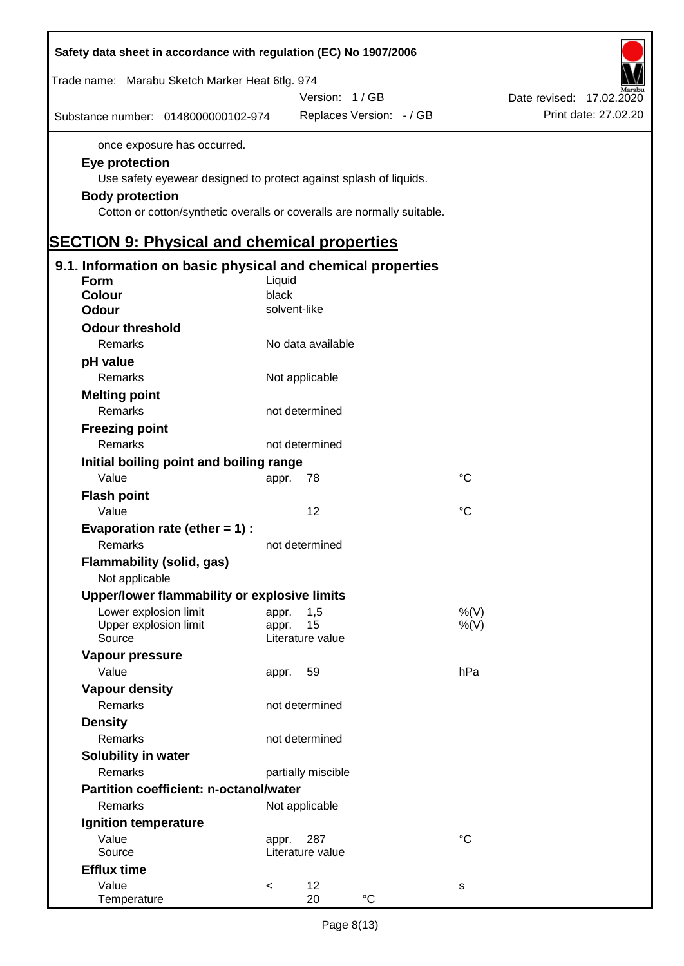| Safety data sheet in accordance with regulation (EC) No 1907/2006                                                                                                                                                       |                |                    |                          |                 |                             |
|-------------------------------------------------------------------------------------------------------------------------------------------------------------------------------------------------------------------------|----------------|--------------------|--------------------------|-----------------|-----------------------------|
| Trade name: Marabu Sketch Marker Heat 6tlg. 974                                                                                                                                                                         |                |                    |                          |                 |                             |
|                                                                                                                                                                                                                         |                | Version: 1/GB      |                          |                 | Date revised:<br>17.02.2020 |
| Substance number: 0148000000102-974                                                                                                                                                                                     |                |                    | Replaces Version: - / GB |                 | Print date: 27.02.20        |
| once exposure has occurred.<br>Eye protection<br>Use safety eyewear designed to protect against splash of liquids.<br><b>Body protection</b><br>Cotton or cotton/synthetic overalls or coveralls are normally suitable. |                |                    |                          |                 |                             |
| <b>SECTION 9: Physical and chemical properties</b>                                                                                                                                                                      |                |                    |                          |                 |                             |
| 9.1. Information on basic physical and chemical properties                                                                                                                                                              |                |                    |                          |                 |                             |
| <b>Form</b>                                                                                                                                                                                                             | Liquid         |                    |                          |                 |                             |
| <b>Colour</b>                                                                                                                                                                                                           | black          |                    |                          |                 |                             |
| <b>Odour</b>                                                                                                                                                                                                            | solvent-like   |                    |                          |                 |                             |
| <b>Odour threshold</b>                                                                                                                                                                                                  |                |                    |                          |                 |                             |
| Remarks                                                                                                                                                                                                                 |                | No data available  |                          |                 |                             |
| pH value                                                                                                                                                                                                                |                |                    |                          |                 |                             |
| Remarks                                                                                                                                                                                                                 |                | Not applicable     |                          |                 |                             |
| <b>Melting point</b>                                                                                                                                                                                                    |                |                    |                          |                 |                             |
| Remarks                                                                                                                                                                                                                 |                | not determined     |                          |                 |                             |
| <b>Freezing point</b>                                                                                                                                                                                                   |                |                    |                          |                 |                             |
| Remarks                                                                                                                                                                                                                 |                | not determined     |                          |                 |                             |
| Initial boiling point and boiling range                                                                                                                                                                                 |                |                    |                          |                 |                             |
| Value                                                                                                                                                                                                                   | appr.          | 78                 |                          | $^{\circ}C$     |                             |
| <b>Flash point</b>                                                                                                                                                                                                      |                |                    |                          |                 |                             |
| Value                                                                                                                                                                                                                   |                | 12                 |                          | $\rm ^{\circ}C$ |                             |
| Evaporation rate (ether $= 1$ ) :                                                                                                                                                                                       |                |                    |                          |                 |                             |
| Remarks                                                                                                                                                                                                                 |                | not determined     |                          |                 |                             |
|                                                                                                                                                                                                                         |                |                    |                          |                 |                             |
| <b>Flammability (solid, gas)</b>                                                                                                                                                                                        |                |                    |                          |                 |                             |
| Not applicable                                                                                                                                                                                                          |                |                    |                          |                 |                             |
| Upper/lower flammability or explosive limits                                                                                                                                                                            |                |                    |                          |                 |                             |
| Lower explosion limit<br>Upper explosion limit                                                                                                                                                                          | appr.<br>appr. | 1,5<br>15          |                          | %(V)<br>%(V)    |                             |
| Source                                                                                                                                                                                                                  |                | Literature value   |                          |                 |                             |
| Vapour pressure                                                                                                                                                                                                         |                |                    |                          |                 |                             |
| Value                                                                                                                                                                                                                   | appr.          | 59                 |                          | hPa             |                             |
| <b>Vapour density</b>                                                                                                                                                                                                   |                |                    |                          |                 |                             |
| Remarks                                                                                                                                                                                                                 |                | not determined     |                          |                 |                             |
| <b>Density</b>                                                                                                                                                                                                          |                |                    |                          |                 |                             |
| Remarks                                                                                                                                                                                                                 |                | not determined     |                          |                 |                             |
|                                                                                                                                                                                                                         |                |                    |                          |                 |                             |
| <b>Solubility in water</b><br>Remarks                                                                                                                                                                                   |                |                    |                          |                 |                             |
|                                                                                                                                                                                                                         |                | partially miscible |                          |                 |                             |
| Partition coefficient: n-octanol/water                                                                                                                                                                                  |                |                    |                          |                 |                             |
| Remarks                                                                                                                                                                                                                 |                | Not applicable     |                          |                 |                             |
| Ignition temperature                                                                                                                                                                                                    |                |                    |                          |                 |                             |
| Value                                                                                                                                                                                                                   | appr.          | 287                |                          | $^{\circ}C$     |                             |
| Source                                                                                                                                                                                                                  |                | Literature value   |                          |                 |                             |
| <b>Efflux time</b>                                                                                                                                                                                                      |                |                    |                          |                 |                             |
| Value<br>Temperature                                                                                                                                                                                                    | $\,<$          | 12<br>20           | $^{\circ}C$              | s               |                             |
|                                                                                                                                                                                                                         |                |                    |                          |                 |                             |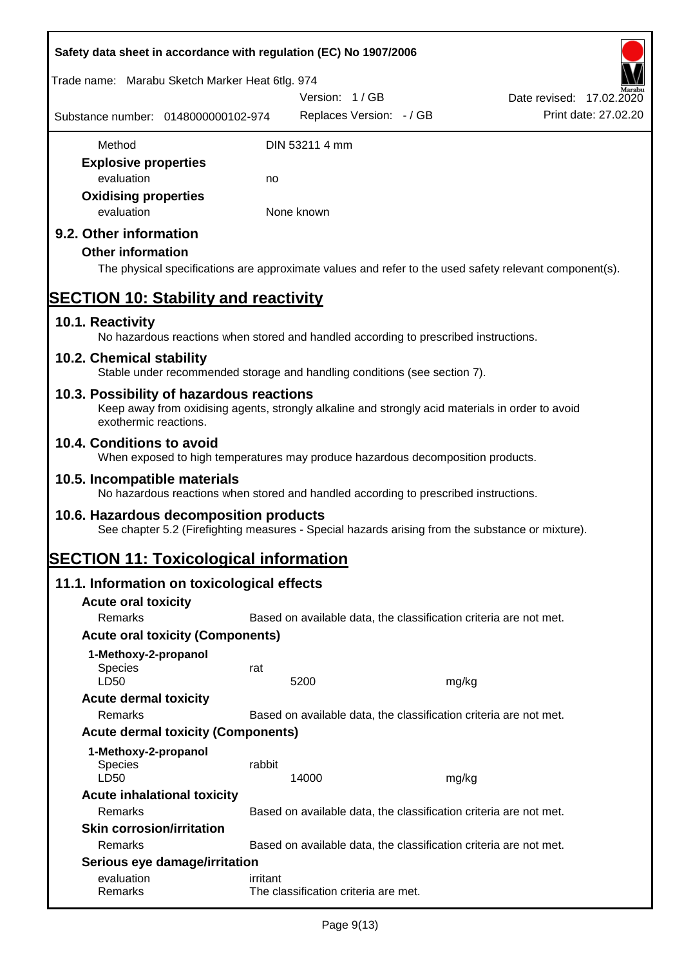| Safety data sheet in accordance with regulation (EC) No 1907/2006                                                                                                     |          |                                           |                                                                   |                          |                      |
|-----------------------------------------------------------------------------------------------------------------------------------------------------------------------|----------|-------------------------------------------|-------------------------------------------------------------------|--------------------------|----------------------|
| Trade name: Marabu Sketch Marker Heat 6tlg. 974                                                                                                                       |          |                                           |                                                                   |                          |                      |
| Substance number: 0148000000102-974                                                                                                                                   |          | Version: 1/GB<br>Replaces Version: - / GB |                                                                   | Date revised: 17.02.2020 | Print date: 27.02.20 |
| Method                                                                                                                                                                |          | DIN 53211 4 mm                            |                                                                   |                          |                      |
| <b>Explosive properties</b>                                                                                                                                           |          |                                           |                                                                   |                          |                      |
| evaluation                                                                                                                                                            | no       |                                           |                                                                   |                          |                      |
| <b>Oxidising properties</b><br>evaluation                                                                                                                             |          | None known                                |                                                                   |                          |                      |
| 9.2. Other information<br><b>Other information</b><br>The physical specifications are approximate values and refer to the used safety relevant component(s).          |          |                                           |                                                                   |                          |                      |
| <b>SECTION 10: Stability and reactivity</b>                                                                                                                           |          |                                           |                                                                   |                          |                      |
| 10.1. Reactivity<br>No hazardous reactions when stored and handled according to prescribed instructions.                                                              |          |                                           |                                                                   |                          |                      |
| 10.2. Chemical stability<br>Stable under recommended storage and handling conditions (see section 7).                                                                 |          |                                           |                                                                   |                          |                      |
| 10.3. Possibility of hazardous reactions<br>Keep away from oxidising agents, strongly alkaline and strongly acid materials in order to avoid<br>exothermic reactions. |          |                                           |                                                                   |                          |                      |
| 10.4. Conditions to avoid<br>When exposed to high temperatures may produce hazardous decomposition products.                                                          |          |                                           |                                                                   |                          |                      |
| 10.5. Incompatible materials<br>No hazardous reactions when stored and handled according to prescribed instructions.                                                  |          |                                           |                                                                   |                          |                      |
| 10.6. Hazardous decomposition products<br>See chapter 5.2 (Firefighting measures - Special hazards arising from the substance or mixture).                            |          |                                           |                                                                   |                          |                      |
| <b>SECTION 11: Toxicological information</b>                                                                                                                          |          |                                           |                                                                   |                          |                      |
| 11.1. Information on toxicological effects                                                                                                                            |          |                                           |                                                                   |                          |                      |
| <b>Acute oral toxicity</b>                                                                                                                                            |          |                                           |                                                                   |                          |                      |
| Remarks                                                                                                                                                               |          |                                           | Based on available data, the classification criteria are not met. |                          |                      |
| <b>Acute oral toxicity (Components)</b>                                                                                                                               |          |                                           |                                                                   |                          |                      |
| 1-Methoxy-2-propanol                                                                                                                                                  |          |                                           |                                                                   |                          |                      |
| Species<br>LD50                                                                                                                                                       | rat      | 5200                                      | mg/kg                                                             |                          |                      |
| <b>Acute dermal toxicity</b>                                                                                                                                          |          |                                           |                                                                   |                          |                      |
| Remarks                                                                                                                                                               |          |                                           | Based on available data, the classification criteria are not met. |                          |                      |
| <b>Acute dermal toxicity (Components)</b>                                                                                                                             |          |                                           |                                                                   |                          |                      |
| 1-Methoxy-2-propanol                                                                                                                                                  |          |                                           |                                                                   |                          |                      |
| Species<br>LD50                                                                                                                                                       | rabbit   | 14000                                     | mg/kg                                                             |                          |                      |
| <b>Acute inhalational toxicity</b><br>Remarks                                                                                                                         |          |                                           | Based on available data, the classification criteria are not met. |                          |                      |
| <b>Skin corrosion/irritation</b>                                                                                                                                      |          |                                           |                                                                   |                          |                      |
| Remarks                                                                                                                                                               |          |                                           | Based on available data, the classification criteria are not met. |                          |                      |
| Serious eye damage/irritation                                                                                                                                         |          |                                           |                                                                   |                          |                      |
| evaluation<br>Remarks                                                                                                                                                 | irritant | The classification criteria are met.      |                                                                   |                          |                      |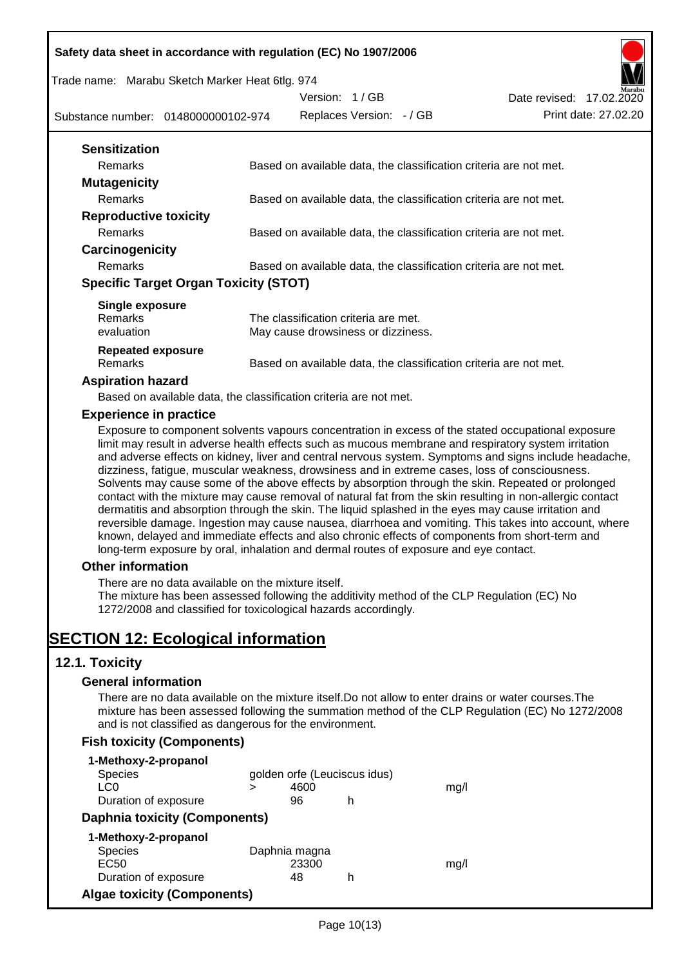Trade name: Marabu Sketch Marker Heat 6tlg. 974

Version: 1 / GB



Substance number: 0148000000102-974

| <b>Sensitization</b>                         |                                                                   |
|----------------------------------------------|-------------------------------------------------------------------|
| Remarks                                      | Based on available data, the classification criteria are not met. |
| <b>Mutagenicity</b>                          |                                                                   |
| <b>Remarks</b>                               | Based on available data, the classification criteria are not met. |
| <b>Reproductive toxicity</b>                 |                                                                   |
| Remarks                                      | Based on available data, the classification criteria are not met. |
| Carcinogenicity                              |                                                                   |
| Remarks                                      | Based on available data, the classification criteria are not met. |
| <b>Specific Target Organ Toxicity (STOT)</b> |                                                                   |
| Single exposure                              |                                                                   |
| <b>Remarks</b>                               | The classification criteria are met.                              |
| evaluation                                   | May cause drowsiness or dizziness.                                |
| Repeated exposure                            |                                                                   |
| Remarks                                      | Based on available data, the classification criteria are not met. |

#### **Aspiration hazard**

Based on available data, the classification criteria are not met.

#### **Experience in practice**

Exposure to component solvents vapours concentration in excess of the stated occupational exposure limit may result in adverse health effects such as mucous membrane and respiratory system irritation and adverse effects on kidney, liver and central nervous system. Symptoms and signs include headache, dizziness, fatigue, muscular weakness, drowsiness and in extreme cases, loss of consciousness. Solvents may cause some of the above effects by absorption through the skin. Repeated or prolonged contact with the mixture may cause removal of natural fat from the skin resulting in non-allergic contact dermatitis and absorption through the skin. The liquid splashed in the eyes may cause irritation and reversible damage. Ingestion may cause nausea, diarrhoea and vomiting. This takes into account, where known, delayed and immediate effects and also chronic effects of components from short-term and long-term exposure by oral, inhalation and dermal routes of exposure and eye contact.

#### **Other information**

There are no data available on the mixture itself.

The mixture has been assessed following the additivity method of the CLP Regulation (EC) No 1272/2008 and classified for toxicological hazards accordingly.

# **SECTION 12: Ecological information**

## **12.1. Toxicity**

#### **General information**

There are no data available on the mixture itself.Do not allow to enter drains or water courses.The mixture has been assessed following the summation method of the CLP Regulation (EC) No 1272/2008 and is not classified as dangerous for the environment.

## **Fish toxicity (Components)**

| 1-Methoxy-2-propanol                 |   |               |                              |      |
|--------------------------------------|---|---------------|------------------------------|------|
| <b>Species</b>                       |   |               | golden orfe (Leuciscus idus) |      |
| LC0                                  | > | 4600          |                              | mq/l |
| Duration of exposure                 |   | 96            | h                            |      |
| <b>Daphnia toxicity (Components)</b> |   |               |                              |      |
| 1-Methoxy-2-propanol                 |   |               |                              |      |
| <b>Species</b>                       |   | Daphnia magna |                              |      |
| EC <sub>50</sub>                     |   | 23300         |                              | mq/l |
| Duration of exposure                 |   | 48            | h                            |      |
| <b>Algae toxicity (Components)</b>   |   |               |                              |      |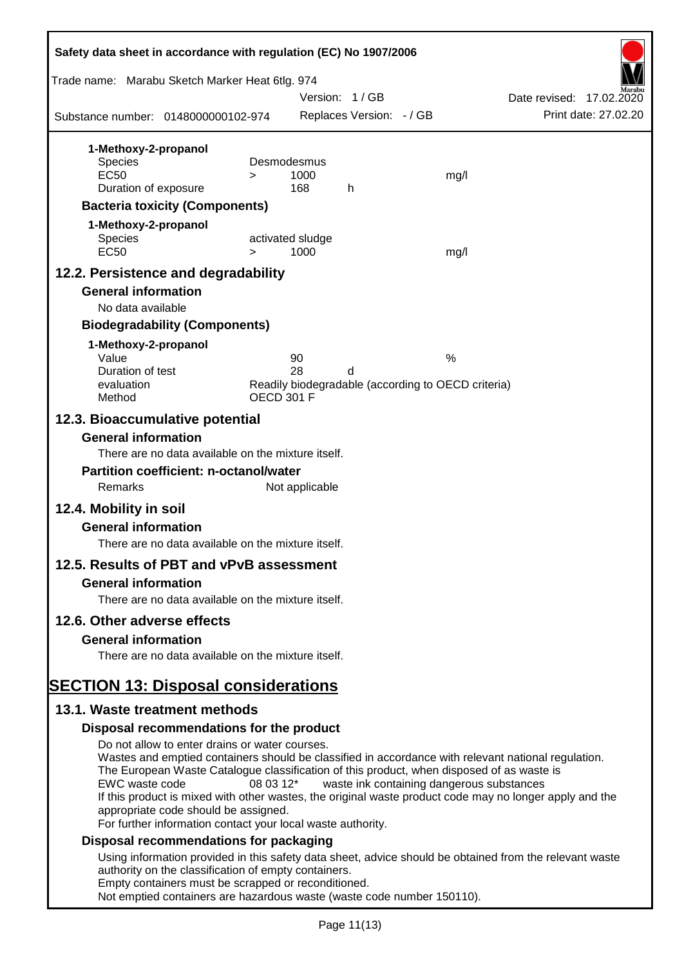| Safety data sheet in accordance with regulation (EC) No 1907/2006                                           |           |                   |                          |                                                    |                          |
|-------------------------------------------------------------------------------------------------------------|-----------|-------------------|--------------------------|----------------------------------------------------|--------------------------|
| Trade name: Marabu Sketch Marker Heat 6tlg. 974                                                             |           | Version: 1/GB     |                          |                                                    | Date revised: 17.02.2020 |
| Substance number: 0148000000102-974                                                                         |           |                   | Replaces Version: - / GB |                                                    | Print date: 27.02.20     |
| 1-Methoxy-2-propanol                                                                                        |           |                   |                          |                                                    |                          |
| <b>Species</b>                                                                                              |           | Desmodesmus       |                          |                                                    |                          |
| <b>EC50</b>                                                                                                 | $\geq$    | 1000              |                          | mg/l                                               |                          |
| Duration of exposure                                                                                        |           | 168               | h                        |                                                    |                          |
| <b>Bacteria toxicity (Components)</b>                                                                       |           |                   |                          |                                                    |                          |
| 1-Methoxy-2-propanol<br><b>Species</b>                                                                      |           | activated sludge  |                          |                                                    |                          |
| <b>EC50</b>                                                                                                 | $\geq$    | 1000              |                          | mg/l                                               |                          |
| 12.2. Persistence and degradability                                                                         |           |                   |                          |                                                    |                          |
| <b>General information</b>                                                                                  |           |                   |                          |                                                    |                          |
| No data available                                                                                           |           |                   |                          |                                                    |                          |
| <b>Biodegradability (Components)</b>                                                                        |           |                   |                          |                                                    |                          |
| 1-Methoxy-2-propanol                                                                                        |           |                   |                          |                                                    |                          |
| Value<br>Duration of test                                                                                   |           | 90<br>28          | d                        | %                                                  |                          |
| evaluation                                                                                                  |           |                   |                          | Readily biodegradable (according to OECD criteria) |                          |
| Method                                                                                                      |           | <b>OECD 301 F</b> |                          |                                                    |                          |
| 12.3. Bioaccumulative potential<br><b>General information</b>                                               |           |                   |                          |                                                    |                          |
| There are no data available on the mixture itself.                                                          |           |                   |                          |                                                    |                          |
| <b>Partition coefficient: n-octanol/water</b>                                                               |           |                   |                          |                                                    |                          |
| Remarks                                                                                                     |           | Not applicable    |                          |                                                    |                          |
| 12.4. Mobility in soil                                                                                      |           |                   |                          |                                                    |                          |
| <b>General information</b>                                                                                  |           |                   |                          |                                                    |                          |
| There are no data available on the mixture itself.                                                          |           |                   |                          |                                                    |                          |
| 12.5. Results of PBT and vPvB assessment                                                                    |           |                   |                          |                                                    |                          |
| <b>General information</b>                                                                                  |           |                   |                          |                                                    |                          |
| There are no data available on the mixture itself.                                                          |           |                   |                          |                                                    |                          |
| 12.6. Other adverse effects                                                                                 |           |                   |                          |                                                    |                          |
| <b>General information</b>                                                                                  |           |                   |                          |                                                    |                          |
| There are no data available on the mixture itself.                                                          |           |                   |                          |                                                    |                          |
| <b>SECTION 13: Disposal considerations</b>                                                                  |           |                   |                          |                                                    |                          |
| 13.1. Waste treatment methods                                                                               |           |                   |                          |                                                    |                          |
| Disposal recommendations for the product                                                                    |           |                   |                          |                                                    |                          |
| Do not allow to enter drains or water courses.                                                              |           |                   |                          |                                                    |                          |
| Wastes and emptied containers should be classified in accordance with relevant national regulation.         |           |                   |                          |                                                    |                          |
| The European Waste Catalogue classification of this product, when disposed of as waste is<br>EWC waste code | 08 03 12* |                   |                          | waste ink containing dangerous substances          |                          |
| If this product is mixed with other wastes, the original waste product code may no longer apply and the     |           |                   |                          |                                                    |                          |
| appropriate code should be assigned.                                                                        |           |                   |                          |                                                    |                          |
| For further information contact your local waste authority.<br>Disposal recommendations for packaging       |           |                   |                          |                                                    |                          |
| Using information provided in this safety data sheet, advice should be obtained from the relevant waste     |           |                   |                          |                                                    |                          |
| authority on the classification of empty containers.                                                        |           |                   |                          |                                                    |                          |
| Empty containers must be scrapped or reconditioned.                                                         |           |                   |                          |                                                    |                          |
| Not emptied containers are hazardous waste (waste code number 150110).                                      |           |                   |                          |                                                    |                          |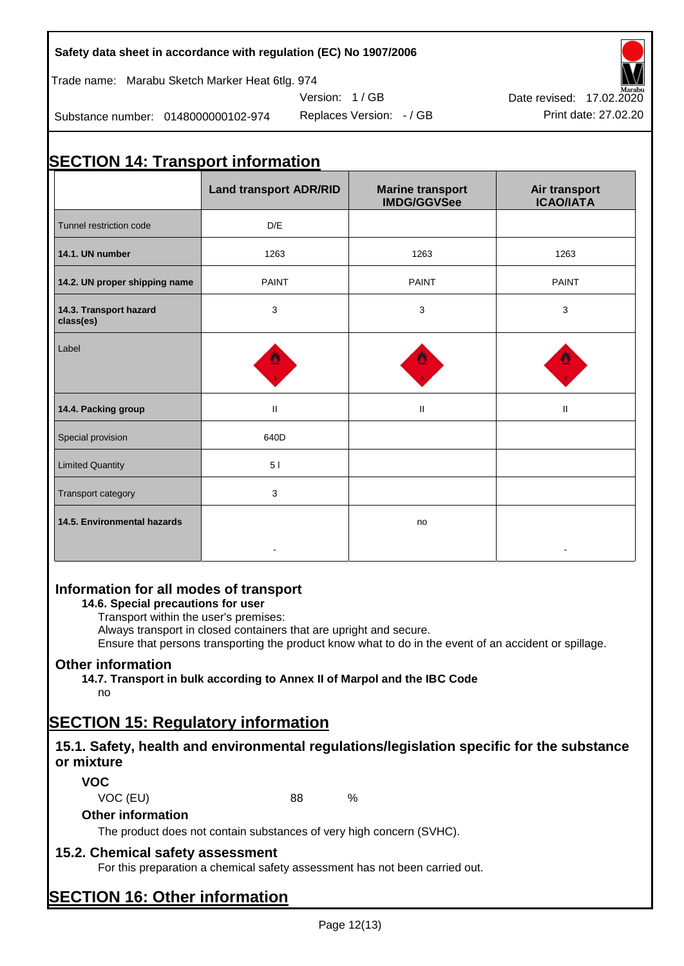Trade name: Marabu Sketch Marker Heat 6tlg. 974

Substance number: 0148000000102-974

Version: 1 / GB



# **SECTION 14: Transport information**

|                                     | <b>Land transport ADR/RID</b> | <b>Marine transport</b><br><b>IMDG/GGVSee</b> | Air transport<br><b>ICAO/IATA</b> |
|-------------------------------------|-------------------------------|-----------------------------------------------|-----------------------------------|
| Tunnel restriction code             | D/E                           |                                               |                                   |
| 14.1. UN number                     | 1263                          | 1263                                          | 1263                              |
| 14.2. UN proper shipping name       | <b>PAINT</b>                  | <b>PAINT</b>                                  | <b>PAINT</b>                      |
| 14.3. Transport hazard<br>class(es) | 3                             | 3                                             | 3                                 |
| Label                               |                               |                                               |                                   |
| 14.4. Packing group                 | $\mathbf{II}$                 | $\mathbf{II}$                                 | $\ensuremath{\mathsf{II}}$        |
| Special provision                   | 640D                          |                                               |                                   |
| <b>Limited Quantity</b>             | 5 <sub>1</sub>                |                                               |                                   |
| Transport category                  | 3                             |                                               |                                   |
| 14.5. Environmental hazards         |                               | no                                            |                                   |

## **Information for all modes of transport**

#### **14.6. Special precautions for user**

Transport within the user's premises:

Always transport in closed containers that are upright and secure.

Ensure that persons transporting the product know what to do in the event of an accident or spillage.

#### **Other information**

**14.7. Transport in bulk according to Annex II of Marpol and the IBC Code**

no

# **SECTION 15: Regulatory information**

## **15.1. Safety, health and environmental regulations/legislation specific for the substance or mixture**

**VOC**

VOC (EU) 88 %

## **Other information**

The product does not contain substances of very high concern (SVHC).

## **15.2. Chemical safety assessment**

For this preparation a chemical safety assessment has not been carried out.

## **SECTION 16: Other information**